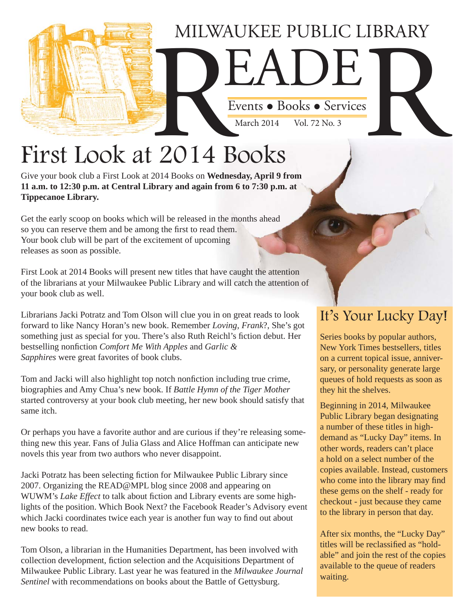## MILWAUKEE PUBLIC LIBRARY Events • Books • Services Events . Books . Services March  $2014$

## First Look at 2014 Books

Give your book club a First Look at 2014 Books on **Wednesday, April 9 from 11 a.m. to 12:30 p.m. at Central Library and again from 6 to 7:30 p.m. at Tippecanoe Library.** 

Get the early scoop on books which will be released in the months ahead so you can reserve them and be among the first to read them. Your book club will be part of the excitement of upcoming releases as soon as possible.

First Look at 2014 Books will present new titles that have caught the attention of the librarians at your Milwaukee Public Library and will catch the attention of your book club as well.

Librarians Jacki Potratz and Tom Olson will clue you in on great reads to look forward to like Nancy Horan's new book. Remember *Loving, Frank*?, She's got something just as special for you. There's also Ruth Reichl's fiction debut. Her bestselling nonfiction *Comfort Me With Apples* and *Garlic & Sapphires* were great favorites of book clubs.

Tom and Jacki will also highlight top notch nonfiction including true crime, biographies and Amy Chua's new book. If *Battle Hymn of the Tiger Mother* started controversy at your book club meeting, her new book should satisfy that same itch.

Or perhaps you have a favorite author and are curious if they're releasing something new this year. Fans of Julia Glass and Alice Hoffman can anticipate new novels this year from two authors who never disappoint.

Jacki Potratz has been selecting fiction for Milwaukee Public Library since 2007. Organizing the READ@MPL blog since 2008 and appearing on WUWM's *Lake Effect* to talk about fiction and Library events are some highlights of the position. Which Book Next? the Facebook Reader's Advisory event which Jacki coordinates twice each year is another fun way to find out about new books to read.

Tom Olson, a librarian in the Humanities Department, has been involved with collection development, fiction selection and the Acquisitions Department of Milwaukee Public Library. Last year he was featured in the *Milwaukee Journal Sentinel* with recommendations on books about the Battle of Gettysburg.

#### It's Your Lucky Day!

Series books by popular authors, New York Times bestsellers, titles on a current topical issue, anniversary, or personality generate large queues of hold requests as soon as they hit the shelves.

Beginning in 2014, Milwaukee Public Library began designating a number of these titles in highdemand as "Lucky Day" items. In other words, readers can't place a hold on a select number of the copies available. Instead, customers who come into the library may find these gems on the shelf - ready for checkout - just because they came to the library in person that day.

After six months, the "Lucky Day" titles will be reclassified as "holdable" and join the rest of the copies available to the queue of readers waiting.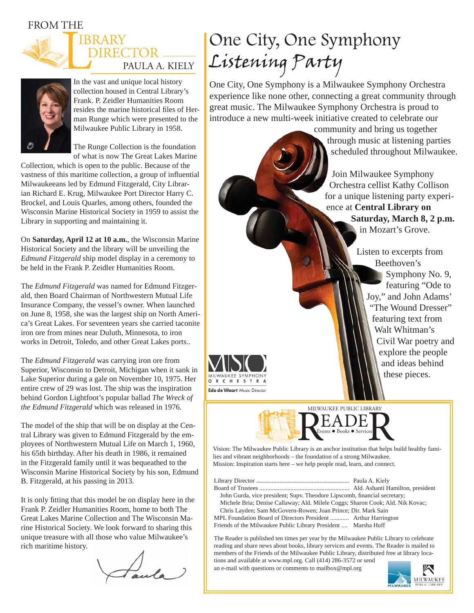FROM THE





In the vast and unique local history collection housed in Central Library's Frank. P. Zeidler Humanities Room resides the marine historical files of Herman Runge which were presented to the Milwaukee Public Library in 1958.

The Runge Collection is the foundation of what is now The Great Lakes Marine

Collection, which is open to the public. Because of the vastness of this maritime collection, a group of influential Milwaukeeans led by Edmund Fitzgerald, City Librarian Richard E. Krug, Milwaukee Port Director Harry C. Brockel, and Louis Quarles, among others, founded the Wisconsin Marine Historical Society in 1959 to assist the Library in supporting and maintaining it.

On **Saturday, April 12 at 10 a.m.**, the Wisconsin Marine Historical Society and the library will be unveiling the *Edmund Fitzgerald* ship model display in a ceremony to be held in the Frank P. Zeidler Humanities Room.

The *Edmund Fitzgerald* was named for Edmund Fitzgerald, then Board Chairman of Northwestern Mutual Life Insurance Company, the vessel's owner. When launched on June 8, 1958, she was the largest ship on North America's Great Lakes. For seventeen years she carried taconite iron ore from mines near Duluth, Minnesota, to iron works in Detroit, Toledo, and other Great Lakes ports..

The *Edmund Fitzgerald* was carrying iron ore from Superior, Wisconsin to Detroit, Michigan when it sank in Lake Superior during a gale on November 10, 1975. Her entire crew of 29 was lost. The ship was the inspiration behind Gordon Lightfoot's popular ballad *The Wreck of the Edmund Fitzgerald* which was released in 1976.

The model of the ship that will be on display at the Central Library was given to Edmund Fitzgerald by the employees of Northwestern Mutual Life on March 1, 1960, his 65th birthday. After his death in 1986, it remained in the Fitzgerald family until it was bequeathed to the Wisconsin Marine Historical Society by his son, Edmund B. Fitzgerald, at his passing in 2013.

It is only fitting that this model be on display here in the Frank P. Zeidler Humanities Room, home to both The Great Lakes Marine Collection and The Wisconsin Marine Historical Society. We look forward to sharing this unique treasure with all those who value Milwaukee's rich maritime history.

Faula

### One City, One Symphony Listening Party

One City, One Symphony is a Milwaukee Symphony Orchestra experience like none other, connecting a great community through great music. The Milwaukee Symphony Orchestra is proud to introduce a new multi-week initiative created to celebrate our

> community and bring us together through music at listening parties scheduled throughout Milwaukee.

Join Milwaukee Symphony Orchestra cellist Kathy Collison for a unique listening party experience at **Central Library on Saturday, March 8, 2 p.m.** in Mozart's Grove.

> Listen to excerpts from Beethoven's Symphony No. 9, featuring "Ode to Joy," and John Adams' "The Wound Dresser" featuring text from Walt Whitman's Civil War poetry and explore the people and ideas behind





Vision: The Milwaukee Public Library is an anchor institution that helps build healthy families and vibrant neighborhoods – the foundation of a strong Milwaukee. Mission: Inspiration starts here – we help people read, learn, and connect.

Library Director ............................................................ Paula A. Kiely Board of Trustees .......................................................... Ald. Ashanti Hamilton, president John Gurda, vice president; Supv. Theodore Lipscomb, financial secretary; Michele Bria; Denise Callaway; Ald. Milele Coggs; Sharon Cook; Ald. Nik Kovac; Chris Layden; Sam McGovern-Rowen; Joan Prince; Dir. Mark Sain MPL Foundation Board of Directors President ............ Arthur Harrington Friends of the Milwaukee Public Library President .... Marsha Huff

The Reader is published ten times per year by the Milwaukee Public Library to celebrate reading and share news about books, library services and events. The Reader is mailed to members of the Friends of the Milwaukee Public Library, distributed free at library locations and available at www.mpl.org. Call (414) 286-3572 or send an e-mail with questions or comments to mailbox@mpl.org

**MILWAUKEE**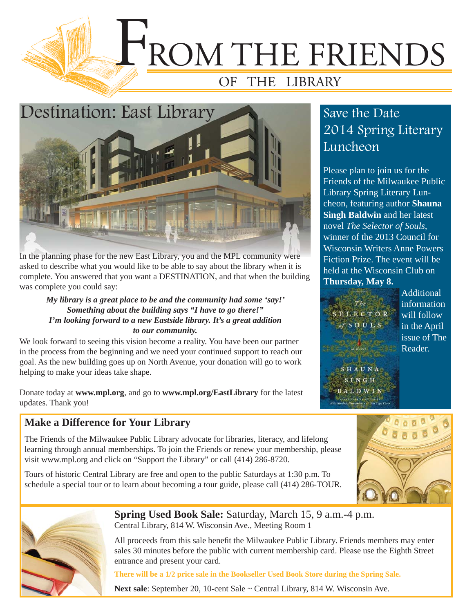



In the planning phase for the new East Library, you and the MPL community were asked to describe what you would like to be able to say about the library when it is complete. You answered that you want a DESTINATION, and that when the building was complete you could say:

#### *My library is a great place to be and the community had some 'say!' Something about the building says "I have to go there!" I'm looking forward to a new Eastside library. It's a great addition to our community.*

We look forward to seeing this vision become a reality. You have been our partner in the process from the beginning and we need your continued support to reach our goal. As the new building goes up on North Avenue, your donation will go to work helping to make your ideas take shape.

Donate today at **www.mpl.org**, and go to **www.mpl.org/EastLibrary** for the latest updates. Thank you!

#### **Make a Difference for Your Library**

The Friends of the Milwaukee Public Library advocate for libraries, literacy, and lifelong learning through annual memberships. To join the Friends or renew your membership, please visit www.mpl.org and click on "Support the Library" or call (414) 286-8720.

Tours of historic Central Library are free and open to the public Saturdays at 1:30 p.m. To schedule a special tour or to learn about becoming a tour guide, please call (414) 286-TOUR.

#### Save the Date 2014 Spring Literary **Luncheon**

Please plan to join us for the Friends of the Milwaukee Public Library Spring Literary Luncheon, featuring author **Shauna Singh Baldwin** and her latest novel *The Selector of Souls*, winner of the 2013 Council for Wisconsin Writers Anne Powers Fiction Prize. The event will be held at the Wisconsin Club on **Thursday, May 8.** 

ECTOR OUL

Additional information will follow in the April issue of The Reader.

SHAUNA  $1 N G H$ A T D W I





**Spring Used Book Sale:** Saturday, March 15, 9 a.m.-4 p.m. Central Library, 814 W. Wisconsin Ave., Meeting Room 1

All proceeds from this sale benefit the Milwaukee Public Library. Friends members may enter sales 30 minutes before the public with current membership card. Please use the Eighth Street entrance and present your card.

**There will be a 1/2 price sale in the Bookseller Used Book Store during the Spring Sale.**

Next sale: September 20, 10-cent Sale ~ Central Library, 814 W. Wisconsin Ave.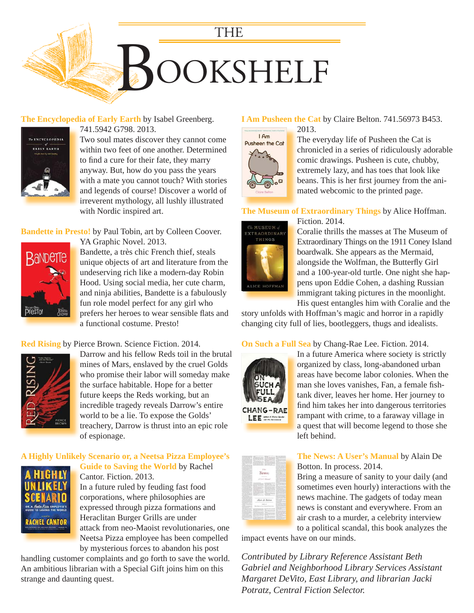

#### **The Encyclopedia of Early Earth** by Isabel Greenberg.



741.5942 G798. 2013.

Two soul mates discover they cannot come within two feet of one another. Determined to find a cure for their fate, they marry anyway. But, how do you pass the years [with a mate you cannot touch? With stories](https://encore.mcfls.org/iii/encore/record/C__Rb3712092)  and legends of course! Discover a world of irreverent mythology, all lushly illustrated with Nordic inspired art.

**Bandette in Presto!** by Paul Tobin, art by Colleen Coover.



YA Graphic Novel. 2013. Bandette, a très chic French thief, steals [unique objects of art and literature from the](https://encore.mcfls.org/iii/encore/record/C__Rb3714927)  undeserving rich like a modern-day Robin Hood. Using social media, her cute charm, and ninja abilities, Bandette is a fabulously fun role model perfect for any girl who prefers her heroes to wear sensible flats and a functional costume. Presto!

**Red Rising** by Pierce Brown. Science Fiction. 2014.



[Darrow and his fellow Reds toil in the brutal](https://encore.mcfls.org/iii/encore/record/C__Rb3724868)  mines of Mars, enslaved by the cruel Golds who promise their labor will someday make the surface habitable. Hope for a better future keeps the Reds working, but an incredible tragedy reveals Darrow's entire world to be a lie. To expose the Golds' treachery, Darrow is thrust into an epic role of espionage.

#### **A Highly Unlikely Scenario or, a Neetsa Pizza Employee's Guide to Saving the World** by Rachel



Cantor. Fiction. 2013. In a future ruled by feuding fast food corporations, where philosophies are expressed through pizza formations and Heraclitan Burger Grills are under H attack from neo-Maoist revolutionaries, one Neetsa Pizza employee has been compelled N by mysterious forces to abandon his post

[handling customer complaints and go forth to save the world.](https://encore.mcfls.org/iii/encore/record/C__Rb3720464)  An ambitious librarian with a Special Gift joins him on this strange and daunting quest.

#### **I Am Pusheen the Cat** by Claire Belton. 741.56973 B453.



The everyday life of Pusheen the Cat is

[chronicled in a series of ridiculously adorable](https://encore.mcfls.org/iii/encore/record/C__Rb3703988)  comic drawings. Pusheen is cute, chubby, extremely lazy, and has toes that look like beans. This is her first journey from the animated webcomic to the printed page.

#### **The Museum of Extraordinary Things** by Alice Hoffman.



Fiction. 2014. F Coralie thrills the masses at The Museum of C Extraordinary Things on the 1911 Coney Island E boardwalk. She appears as the Mermaid, b alongside the Wolfman, the Butterfly Girl and a 100-year-old turtle. One night she hap-a pens upon Eddie Cohen, a dashing Russian p immigrant taking pictures in the moonlight. His quest entangles him with Coralie and the H

[story unfolds with Hoffman's magic and horror in a rapidly](https://encore.mcfls.org/iii/encore/record/C__Rb3729206)  changing city full of lies, bootleggers, thugs and idealists.

#### **On Such a Full Sea** by Chang-Rae Lee. Fiction. 2014.



In a future America where society is strictly I organized by class, long-abandoned urban [areas have become labor colonies. When the](https://encore.mcfls.org/iii/encore/record/C__Rb3714726)  a man she loves vanishes, Fan, a female fishtank diver, leaves her home. Her journey to find him takes her into dangerous territories rampant with crime, to a faraway village in a quest that will become legend to those she a left behind. l



#### **The News: A User's Manual** by Alain De Botton. In process. 2014.

Bring a measure of sanity to your daily (and [sometimes even hourly\) interactions with the](https://encore.mcfls.org/iii/encore/record/C__Rb3730538)  news machine. The gadgets of today mean news is constant and everywhere. From an air crash to a murder, a celebrity interview to a political scandal, this book analyzes the

impact events have on our minds.

*Contributed by Library Reference Assistant Beth Gabriel and Neighborhood Library Services Assistant Margaret DeVito, East Library, and librarian Jacki Potratz, Central Fiction Selector.*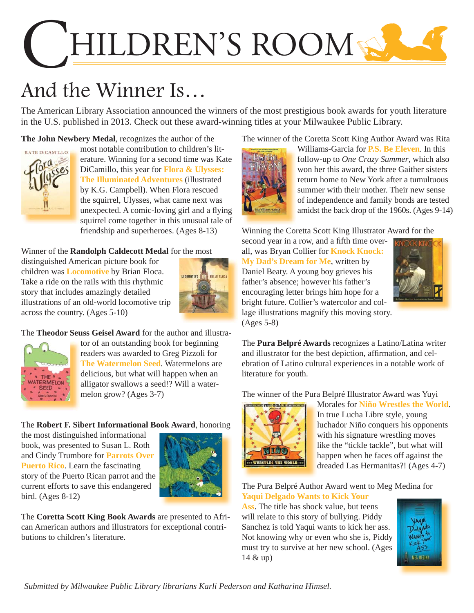# HILDREN'S ROOM

## And the Winner Is…

The American Library Association announced the winners of the most prestigious book awards for youth literature in the U.S. published in 2013. Check out these award-winning titles at your Milwaukee Public Library.

**The John Newbery Medal**, recognizes the author of the



most notable contribution to children's literature. Winning for a second time was Kate DiCamillo, this year for **Flora & Ulysses: The Illuminated Adventures** (illustrated by K.G. Campbell). When Flora rescued the squirrel, Ulysses, what came next was unexpected. A comic-loving girl and a flying [squirrel come together in this unusual tale of](https://encore.mcfls.org/iii/encore/record/C__Rb3688842)  friendship and superheroes. (Ages 8-13)

Winner of the **Randolph Caldecott Medal** for the most

distinguished American picture book for children was **Locomotive** by Brian Floca. Take a ride on the rails with this rhythmic story that includes amazingly detailed [illustrations of an old-world locomotive trip](https://encore.mcfls.org/iii/encore/record/C__Rb3686800)  across the country. (Ages 5-10)



The **Theodor Seuss Geisel Award** for the author and illustra-



[tor of an outstanding book for beginning](https://encore.mcfls.org/iii/encore/record/C__Rb3662026)  readers was awarded to Greg Pizzoli for **The Watermelon Seed**. Watermelons are delicious, but what will happen when an alligator swallows a seed!? Will a watermelon grow? (Ages 3-7)

#### The **[Robert F. Sibert Informational Book Award](https://encore.mcfls.org/iii/encore/record/C__Rb3705170)**, honoring

the most distinguished informational book, was presented to Susan L. Roth and Cindy Trumbore for **Parrots Over Puerto Rico**. Learn the fascinating story of the Puerto Rican parrot and the current efforts to save this endangered bird. (Ages 8-12)



The **Coretta Scott King Book Awards** are presented to African American authors and illustrators for exceptional contributions to children's literature.

[The winner of the Coretta Scott King Author Award was Rita](https://encore.mcfls.org/iii/encore/record/C__Rb3659718) 



Williams-Garcia for **P.S. Be Eleven**. In this follow-up to *One Crazy Summer*, which also won her this award, the three Gaither sisters return home to New York after a tumultuous summer with their mother. Their new sense of independence and family bonds are tested amidst the back drop of the 1960s. (Ages 9-14)

Winning the Coretta Scott King Illustrator Award for the

second year in a row, and a fifth time overall, was Bryan Collier for **Knock Knock: My Dad's Dream for Me**, written by Daniel Beaty. A young boy grieves his father's absence; however his father's encouraging letter brings him hope for a bright future. Collier's watercolor and coll[age illustrations magnify this moving story.](https://encore.mcfls.org/iii/encore/record/C__Rb3706196)  (Ages 5-8)



The **Pura Belpré Awards** recognizes a Latino/Latina writer and illustrator for the best depiction, affirmation, and celebration of Latino cultural experiences in a notable work of literature for youth.

[The winner of the Pura Belpré Illustrator Award was Yuyi](https://encore.mcfls.org/iii/encore/record/C__Rb3671631) 



Morales for **Niño Wrestles the World**. In true Lucha Libre style, young luchador Niño conquers his opponents with his signature wrestling moves like the "tickle tackle", but what will happen when he faces off against the dreaded Las Hermanitas?! (Ages 4-7)

#### The Pura Belpré Author Award went to Meg Medina for **Yaqui Delgado Wants to Kick Your**

**Ass**. The title has shock value, but teens will relate to this story of bullying. Piddy Sanchez is told Yaqui wants to kick her ass. [Not knowing why or even who she is, Piddy](https://encore.mcfls.org/iii/encore/record/C__Rb3656734)  must try to survive at her new school. (Ages 14 & up)